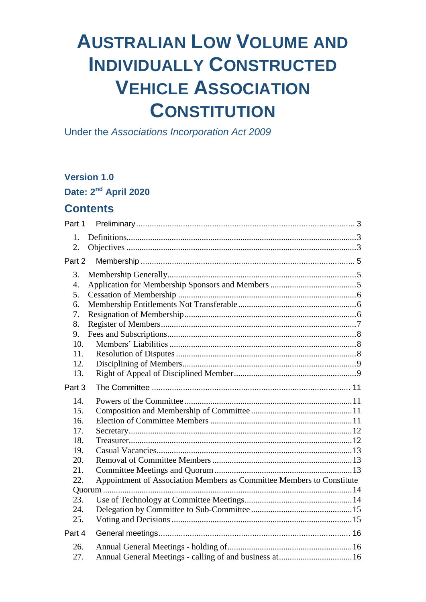# **AUSTRALIAN LOW VOLUME AND INDIVIDUALLY CONSTRUCTED VEHICLE ASSOCIATION CONSTITUTION**

Under the Associations Incorporation Act 2009

## **Version 1.0**

Date: 2<sup>nd</sup> April 2020

## **Contents**

| Part 1    |                                                                       |  |
|-----------|-----------------------------------------------------------------------|--|
| 1.<br>2.  |                                                                       |  |
| Part 2    |                                                                       |  |
| 3.        |                                                                       |  |
| 4.        |                                                                       |  |
| 5.        |                                                                       |  |
| 6.        |                                                                       |  |
| 7.        |                                                                       |  |
| 8.        |                                                                       |  |
| 9.<br>10. |                                                                       |  |
| 11.       |                                                                       |  |
| 12.       |                                                                       |  |
| 13.       |                                                                       |  |
|           |                                                                       |  |
| Part 3    |                                                                       |  |
| 14.       |                                                                       |  |
| 15.       |                                                                       |  |
| 16.       |                                                                       |  |
| 17.       |                                                                       |  |
| 18.       |                                                                       |  |
| 19.       |                                                                       |  |
| 20.       |                                                                       |  |
| 21.       |                                                                       |  |
| 22.       | Appointment of Association Members as Committee Members to Constitute |  |
|           |                                                                       |  |
| 23.       |                                                                       |  |
| 24.       |                                                                       |  |
| 25.       |                                                                       |  |
| Part 4    |                                                                       |  |
| 26.       |                                                                       |  |
| 27.       |                                                                       |  |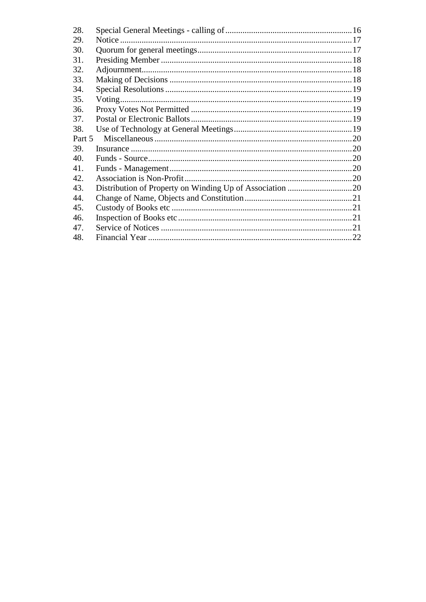| 28.    |  |
|--------|--|
| 29.    |  |
| 30.    |  |
| 31.    |  |
| 32.    |  |
| 33.    |  |
| 34.    |  |
| 35.    |  |
| 36.    |  |
| 37.    |  |
| 38.    |  |
| Part 5 |  |
| 39.    |  |
| 40.    |  |
| 41.    |  |
| 42.    |  |
| 43.    |  |
| 44.    |  |
| 45.    |  |
| 46.    |  |
| 47.    |  |
| 48.    |  |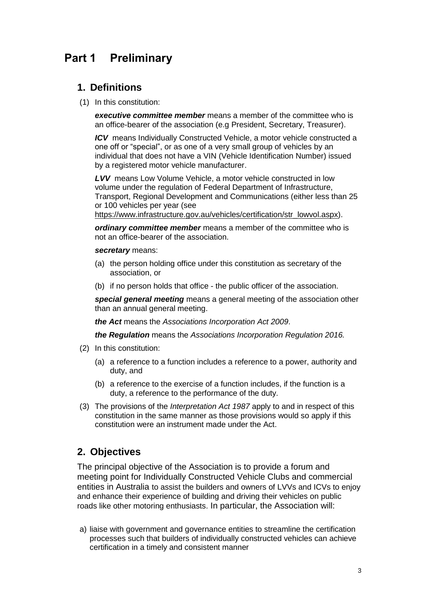# <span id="page-2-0"></span>**Part 1 Preliminary**

## <span id="page-2-1"></span>**1. Definitions**

(1) In this constitution:

*executive committee member* means a member of the committee who is an office-bearer of the association (e.g President, Secretary, Treasurer).

*ICV* means Individually Constructed Vehicle, a motor vehicle constructed a one off or "special", or as one of a very small group of vehicles by an individual that does not have a VIN (Vehicle Identification Number) issued by a registered motor vehicle manufacturer.

*LVV* means Low Volume Vehicle, a motor vehicle constructed in low volume under the regulation of Federal Department of Infrastructure, Transport, Regional Development and Communications (either less than 25 or 100 vehicles per year (see

[https://www.infrastructure.gov.au/vehicles/certification/str\\_lowvol.aspx\)](https://www.infrastructure.gov.au/vehicles/certification/str_lowvol.aspx).

*ordinary committee member* means a member of the committee who is not an office-bearer of the association.

#### *secretary* means:

- (a) the person holding office under this constitution as secretary of the association, or
- (b) if no person holds that office the public officer of the association.

*special general meeting* means a general meeting of the association other than an annual general meeting.

*the Act* means the *[Associations Incorporation Act 2009](http://www.legislation.nsw.gov.au/xref/inforce/?xref=Type%3Dact%20AND%20Year%3D2009%20AND%20no%3D7&nohits=y)*.

*the Regulation* means the *[Associations Incorporation Regulation 2016.](http://www.legislation.nsw.gov.au/xref/inforce/?xref=Type%3Dsubordleg%20AND%20Year%3D2010%20AND%20No%3D238&nohits=y)*

- (2) In this constitution:
	- (a) a reference to a function includes a reference to a power, authority and duty, and
	- (b) a reference to the exercise of a function includes, if the function is a duty, a reference to the performance of the duty.
- (3) The provisions of the *[Interpretation Act 1987](http://www.legislation.nsw.gov.au/xref/inforce/?xref=Type%3Dact%20AND%20Year%3D1987%20AND%20no%3D15&nohits=y)* apply to and in respect of this constitution in the same manner as those provisions would so apply if this constitution were an instrument made under the Act.

## <span id="page-2-2"></span>**2. Objectives**

The principal objective of the Association is to provide a forum and meeting point for Individually Constructed Vehicle Clubs and commercial entities in Australia to assist the builders and owners of LVVs and ICVs to enjoy and enhance their experience of building and driving their vehicles on public roads like other motoring enthusiasts. In particular, the Association will:

a) liaise with government and governance entities to streamline the certification processes such that builders of individually constructed vehicles can achieve certification in a timely and consistent manner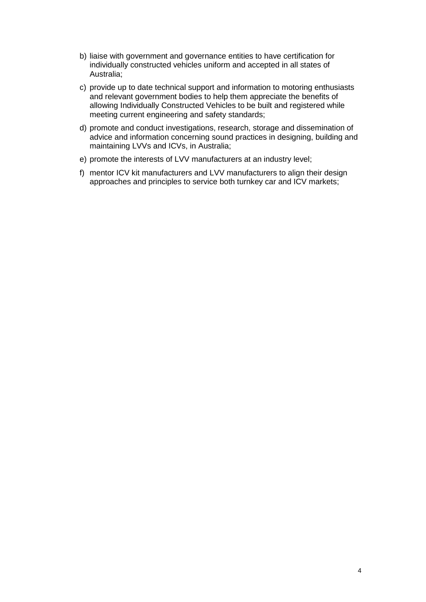- b) liaise with government and governance entities to have certification for individually constructed vehicles uniform and accepted in all states of Australia;
- c) provide up to date technical support and information to motoring enthusiasts and relevant government bodies to help them appreciate the benefits of allowing Individually Constructed Vehicles to be built and registered while meeting current engineering and safety standards;
- d) promote and conduct investigations, research, storage and dissemination of advice and information concerning sound practices in designing, building and maintaining LVVs and ICVs, in Australia;
- e) promote the interests of LVV manufacturers at an industry level;
- f) mentor ICV kit manufacturers and LVV manufacturers to align their design approaches and principles to service both turnkey car and ICV markets;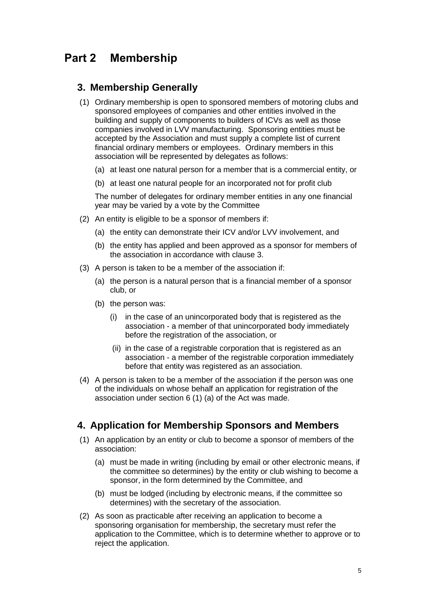# <span id="page-4-0"></span>**Part 2 Membership**

#### <span id="page-4-1"></span>**3. Membership Generally**

- (1) Ordinary membership is open to sponsored members of motoring clubs and sponsored employees of companies and other entities involved in the building and supply of components to builders of ICVs as well as those companies involved in LVV manufacturing. Sponsoring entities must be accepted by the Association and must supply a complete list of current financial ordinary members or employees. Ordinary members in this association will be represented by delegates as follows:
	- (a) at least one natural person for a member that is a commercial entity, or
	- (b) at least one natural people for an incorporated not for profit club

The number of delegates for ordinary member entities in any one financial year may be varied by a vote by the Committee

- (2) An entity is eligible to be a sponsor of members if:
	- (a) the entity can demonstrate their ICV and/or LVV involvement, and
	- (b) the entity has applied and been approved as a sponsor for members of the association in accordance with clause 3.
- (3) A person is taken to be a member of the association if:
	- (a) the person is a natural person that is a financial member of a sponsor club, or
	- (b) the person was:
		- (i) in the case of an unincorporated body that is registered as the association - a member of that unincorporated body immediately before the registration of the association, or
		- (ii) in the case of a registrable corporation that is registered as an association - a member of the registrable corporation immediately before that entity was registered as an association.
- (4) A person is taken to be a member of the association if the person was one of the individuals on whose behalf an application for registration of the association under section 6 (1) (a) of the Act was made.

## <span id="page-4-2"></span>**4. Application for Membership Sponsors and Members**

- (1) An application by an entity or club to become a sponsor of members of the association:
	- (a) must be made in writing (including by email or other electronic means, if the committee so determines) by the entity or club wishing to become a sponsor, in the form determined by the Committee, and
	- (b) must be lodged (including by electronic means, if the committee so determines) with the secretary of the association.
- (2) As soon as practicable after receiving an application to become a sponsoring organisation for membership, the secretary must refer the application to the Committee, which is to determine whether to approve or to reject the application.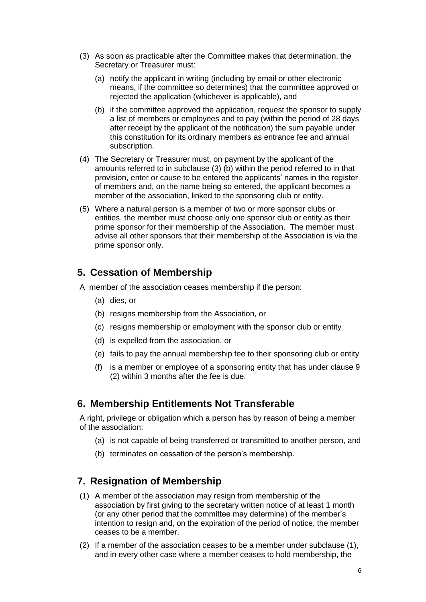- (3) As soon as practicable after the Committee makes that determination, the Secretary or Treasurer must:
	- (a) notify the applicant in writing (including by email or other electronic means, if the committee so determines) that the committee approved or rejected the application (whichever is applicable), and
	- (b) if the committee approved the application, request the sponsor to supply a list of members or employees and to pay (within the period of 28 days after receipt by the applicant of the notification) the sum payable under this constitution for its ordinary members as entrance fee and annual subscription.
- (4) The Secretary or Treasurer must, on payment by the applicant of the amounts referred to in subclause (3) (b) within the period referred to in that provision, enter or cause to be entered the applicants' names in the register of members and, on the name being so entered, the applicant becomes a member of the association, linked to the sponsoring club or entity.
- (5) Where a natural person is a member of two or more sponsor clubs or entities, the member must choose only one sponsor club or entity as their prime sponsor for their membership of the Association. The member must advise all other sponsors that their membership of the Association is via the prime sponsor only.

## <span id="page-5-0"></span>**5. Cessation of Membership**

- A member of the association ceases membership if the person:
	- (a) dies, or
	- (b) resigns membership from the Association, or
	- (c) resigns membership or employment with the sponsor club or entity
	- (d) is expelled from the association, or
	- (e) fails to pay the annual membership fee to their sponsoring club or entity
	- (f) is a member or employee of a sponsoring entity that has under clause 9 (2) within 3 months after the fee is due.

#### <span id="page-5-1"></span>**6. Membership Entitlements Not Transferable**

A right, privilege or obligation which a person has by reason of being a member of the association:

- (a) is not capable of being transferred or transmitted to another person, and
- (b) terminates on cessation of the person's membership.

#### <span id="page-5-2"></span>**7. Resignation of Membership**

- (1) A member of the association may resign from membership of the association by first giving to the secretary written notice of at least 1 month (or any other period that the committee may determine) of the member's intention to resign and, on the expiration of the period of notice, the member ceases to be a member.
- (2) If a member of the association ceases to be a member under subclause (1), and in every other case where a member ceases to hold membership, the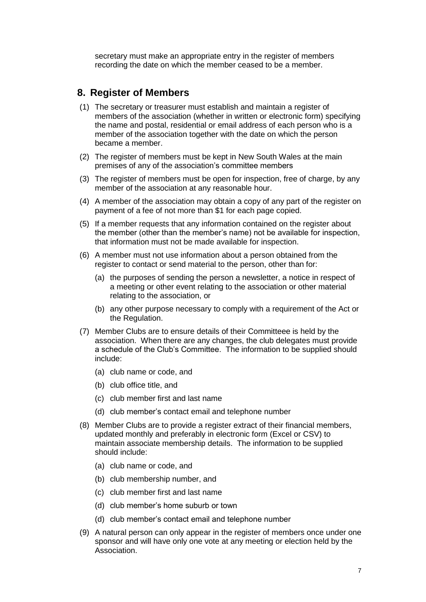secretary must make an appropriate entry in the register of members recording the date on which the member ceased to be a member.

#### <span id="page-6-0"></span>**8. Register of Members**

- (1) The secretary or treasurer must establish and maintain a register of members of the association (whether in written or electronic form) specifying the name and postal, residential or email address of each person who is a member of the association together with the date on which the person became a member.
- (2) The register of members must be kept in New South Wales at the main premises of any of the association's committee members
- (3) The register of members must be open for inspection, free of charge, by any member of the association at any reasonable hour.
- (4) A member of the association may obtain a copy of any part of the register on payment of a fee of not more than \$1 for each page copied.
- (5) If a member requests that any information contained on the register about the member (other than the member's name) not be available for inspection, that information must not be made available for inspection.
- (6) A member must not use information about a person obtained from the register to contact or send material to the person, other than for:
	- (a) the purposes of sending the person a newsletter, a notice in respect of a meeting or other event relating to the association or other material relating to the association, or
	- (b) any other purpose necessary to comply with a requirement of the Act or the Regulation.
- (7) Member Clubs are to ensure details of their Committeee is held by the association. When there are any changes, the club delegates must provide a schedule of the Club's Committee. The information to be supplied should include:
	- (a) club name or code, and
	- (b) club office title, and
	- (c) club member first and last name
	- (d) club member's contact email and telephone number
- (8) Member Clubs are to provide a register extract of their financial members, updated monthly and preferably in electronic form (Excel or CSV) to maintain associate membership details. The information to be supplied should include:
	- (a) club name or code, and
	- (b) club membership number, and
	- (c) club member first and last name
	- (d) club member's home suburb or town
	- (d) club member's contact email and telephone number
- (9) A natural person can only appear in the register of members once under one sponsor and will have only one vote at any meeting or election held by the Association.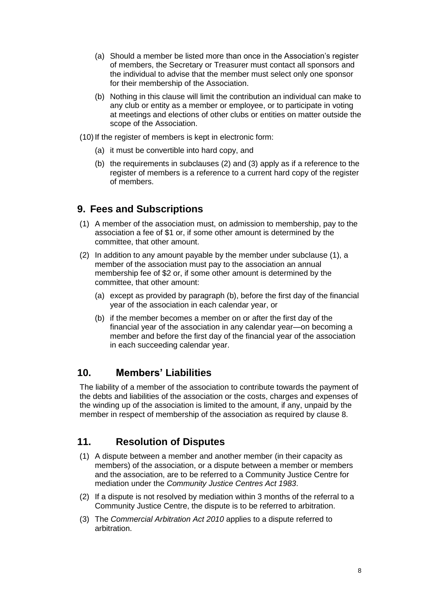- (a) Should a member be listed more than once in the Association's register of members, the Secretary or Treasurer must contact all sponsors and the individual to advise that the member must select only one sponsor for their membership of the Association.
- (b) Nothing in this clause will limit the contribution an individual can make to any club or entity as a member or employee, or to participate in voting at meetings and elections of other clubs or entities on matter outside the scope of the Association.
- (10) If the register of members is kept in electronic form:
	- (a) it must be convertible into hard copy, and
	- (b) the requirements in subclauses (2) and (3) apply as if a reference to the register of members is a reference to a current hard copy of the register of members.

## <span id="page-7-0"></span>**9. Fees and Subscriptions**

- (1) A member of the association must, on admission to membership, pay to the association a fee of \$1 or, if some other amount is determined by the committee, that other amount.
- (2) In addition to any amount payable by the member under subclause (1), a member of the association must pay to the association an annual membership fee of \$2 or, if some other amount is determined by the committee, that other amount:
	- (a) except as provided by paragraph (b), before the first day of the financial year of the association in each calendar year, or
	- (b) if the member becomes a member on or after the first day of the financial year of the association in any calendar year—on becoming a member and before the first day of the financial year of the association in each succeeding calendar year.

## <span id="page-7-1"></span>**10. Members' Liabilities**

The liability of a member of the association to contribute towards the payment of the debts and liabilities of the association or the costs, charges and expenses of the winding up of the association is limited to the amount, if any, unpaid by the member in respect of membership of the association as required by clause 8.

# <span id="page-7-2"></span>**11. Resolution of Disputes**

- (1) A dispute between a member and another member (in their capacity as members) of the association, or a dispute between a member or members and the association, are to be referred to a Community Justice Centre for mediation under the *Community Justice Centres Act 1983*.
- (2) If a dispute is not resolved by mediation within 3 months of the referral to a Community Justice Centre, the dispute is to be referred to arbitration.
- (3) The *Commercial Arbitration Act 2010* applies to a dispute referred to arbitration.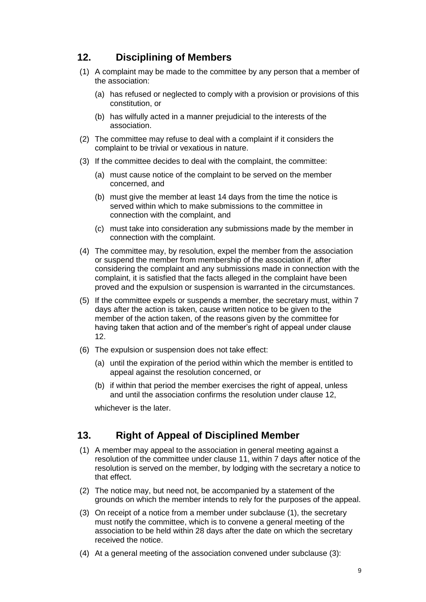## <span id="page-8-0"></span>**12. Disciplining of Members**

- (1) A complaint may be made to the committee by any person that a member of the association:
	- (a) has refused or neglected to comply with a provision or provisions of this constitution, or
	- (b) has wilfully acted in a manner prejudicial to the interests of the association.
- (2) The committee may refuse to deal with a complaint if it considers the complaint to be trivial or vexatious in nature.
- (3) If the committee decides to deal with the complaint, the committee:
	- (a) must cause notice of the complaint to be served on the member concerned, and
	- (b) must give the member at least 14 days from the time the notice is served within which to make submissions to the committee in connection with the complaint, and
	- (c) must take into consideration any submissions made by the member in connection with the complaint.
- (4) The committee may, by resolution, expel the member from the association or suspend the member from membership of the association if, after considering the complaint and any submissions made in connection with the complaint, it is satisfied that the facts alleged in the complaint have been proved and the expulsion or suspension is warranted in the circumstances.
- (5) If the committee expels or suspends a member, the secretary must, within 7 days after the action is taken, cause written notice to be given to the member of the action taken, of the reasons given by the committee for having taken that action and of the member's right of appeal under clause 12.
- (6) The expulsion or suspension does not take effect:
	- (a) until the expiration of the period within which the member is entitled to appeal against the resolution concerned, or
	- (b) if within that period the member exercises the right of appeal, unless and until the association confirms the resolution under clause 12,

whichever is the later.

## <span id="page-8-1"></span>**13. Right of Appeal of Disciplined Member**

- (1) A member may appeal to the association in general meeting against a resolution of the committee under clause 11, within 7 days after notice of the resolution is served on the member, by lodging with the secretary a notice to that effect.
- (2) The notice may, but need not, be accompanied by a statement of the grounds on which the member intends to rely for the purposes of the appeal.
- (3) On receipt of a notice from a member under subclause (1), the secretary must notify the committee, which is to convene a general meeting of the association to be held within 28 days after the date on which the secretary received the notice.
- (4) At a general meeting of the association convened under subclause (3):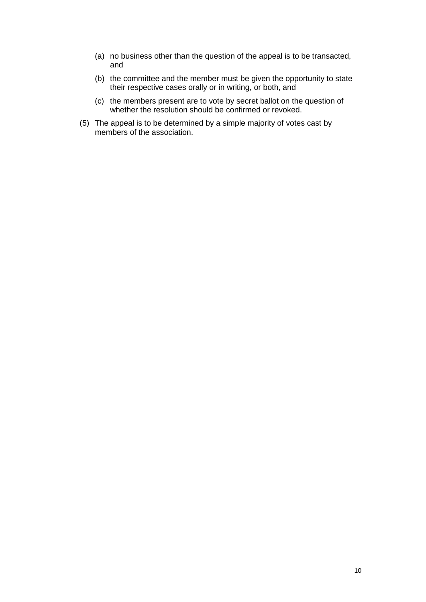- (a) no business other than the question of the appeal is to be transacted, and
- (b) the committee and the member must be given the opportunity to state their respective cases orally or in writing, or both, and
- (c) the members present are to vote by secret ballot on the question of whether the resolution should be confirmed or revoked.
- (5) The appeal is to be determined by a simple majority of votes cast by members of the association.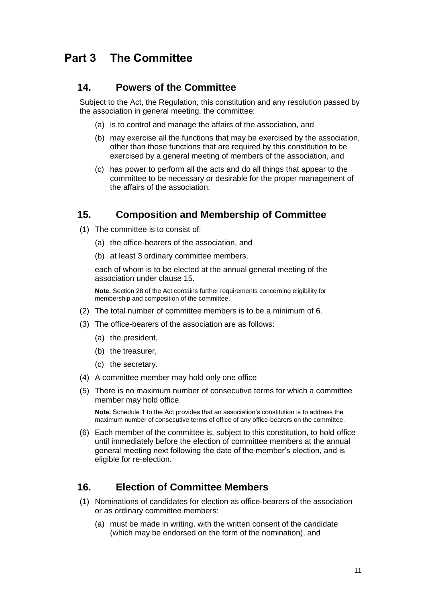# <span id="page-10-0"></span>**Part 3 The Committee**

#### <span id="page-10-1"></span>**14. Powers of the Committee**

Subject to the Act, the Regulation, this constitution and any resolution passed by the association in general meeting, the committee:

- (a) is to control and manage the affairs of the association, and
- (b) may exercise all the functions that may be exercised by the association, other than those functions that are required by this constitution to be exercised by a general meeting of members of the association, and
- (c) has power to perform all the acts and do all things that appear to the committee to be necessary or desirable for the proper management of the affairs of the association.

#### <span id="page-10-2"></span>**15. Composition and Membership of Committee**

- (1) The committee is to consist of:
	- (a) the office-bearers of the association, and
	- (b) at least 3 ordinary committee members,

each of whom is to be elected at the annual general meeting of the association under clause 15.

**Note.** Section 28 of the Act contains further requirements concerning eligibility for membership and composition of the committee.

- (2) The total number of committee members is to be a minimum of 6.
- (3) The office-bearers of the association are as follows:
	- (a) the president,
	- (b) the treasurer,
	- (c) the secretary.
- (4) A committee member may hold only one office
- (5) There is no maximum number of consecutive terms for which a committee member may hold office.

**Note.** Schedule 1 to the Act provides that an association's constitution is to address the maximum number of consecutive terms of office of any office-bearers on the committee.

(6) Each member of the committee is, subject to this constitution, to hold office until immediately before the election of committee members at the annual general meeting next following the date of the member's election, and is eligible for re-election.

#### <span id="page-10-3"></span>**16. Election of Committee Members**

- (1) Nominations of candidates for election as office-bearers of the association or as ordinary committee members:
	- (a) must be made in writing, with the written consent of the candidate (which may be endorsed on the form of the nomination), and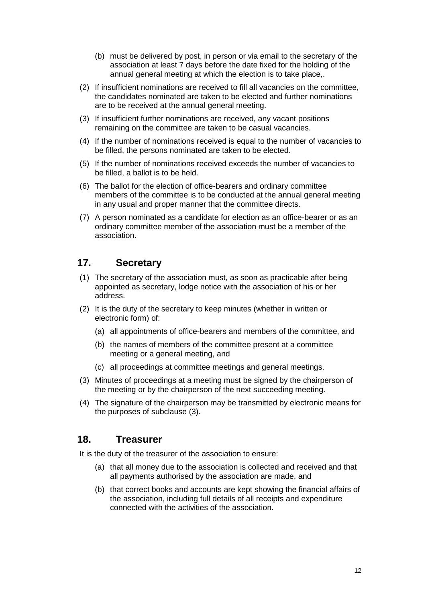- (b) must be delivered by post, in person or via email to the secretary of the association at least 7 days before the date fixed for the holding of the annual general meeting at which the election is to take place,.
- (2) If insufficient nominations are received to fill all vacancies on the committee, the candidates nominated are taken to be elected and further nominations are to be received at the annual general meeting.
- (3) If insufficient further nominations are received, any vacant positions remaining on the committee are taken to be casual vacancies.
- (4) If the number of nominations received is equal to the number of vacancies to be filled, the persons nominated are taken to be elected.
- (5) If the number of nominations received exceeds the number of vacancies to be filled, a ballot is to be held.
- (6) The ballot for the election of office-bearers and ordinary committee members of the committee is to be conducted at the annual general meeting in any usual and proper manner that the committee directs.
- (7) A person nominated as a candidate for election as an office-bearer or as an ordinary committee member of the association must be a member of the association.

## <span id="page-11-0"></span>**17. Secretary**

- (1) The secretary of the association must, as soon as practicable after being appointed as secretary, lodge notice with the association of his or her address.
- (2) It is the duty of the secretary to keep minutes (whether in written or electronic form) of:
	- (a) all appointments of office-bearers and members of the committee, and
	- (b) the names of members of the committee present at a committee meeting or a general meeting, and
	- (c) all proceedings at committee meetings and general meetings.
- (3) Minutes of proceedings at a meeting must be signed by the chairperson of the meeting or by the chairperson of the next succeeding meeting.
- (4) The signature of the chairperson may be transmitted by electronic means for the purposes of subclause (3).

#### <span id="page-11-1"></span>**18. Treasurer**

It is the duty of the treasurer of the association to ensure:

- (a) that all money due to the association is collected and received and that all payments authorised by the association are made, and
- (b) that correct books and accounts are kept showing the financial affairs of the association, including full details of all receipts and expenditure connected with the activities of the association.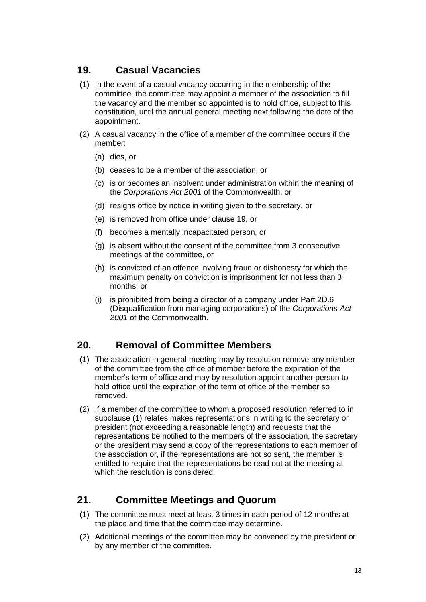## <span id="page-12-0"></span>**19. Casual Vacancies**

- (1) In the event of a casual vacancy occurring in the membership of the committee, the committee may appoint a member of the association to fill the vacancy and the member so appointed is to hold office, subject to this constitution, until the annual general meeting next following the date of the appointment.
- (2) A casual vacancy in the office of a member of the committee occurs if the member:
	- (a) dies, or
	- (b) ceases to be a member of the association, or
	- (c) is or becomes an insolvent under administration within the meaning of the *[Corporations Act 2001](http://www.comlaw.gov.au/)* of the Commonwealth, or
	- (d) resigns office by notice in writing given to the secretary, or
	- (e) is removed from office under clause 19, or
	- (f) becomes a mentally incapacitated person, or
	- (g) is absent without the consent of the committee from 3 consecutive meetings of the committee, or
	- (h) is convicted of an offence involving fraud or dishonesty for which the maximum penalty on conviction is imprisonment for not less than 3 months, or
	- (i) is prohibited from being a director of a company under Part 2D.6 (Disqualification from managing corporations) of the *[Corporations Act](http://www.comlaw.gov.au/)  [2001](http://www.comlaw.gov.au/)* of the Commonwealth.

## <span id="page-12-1"></span>**20. Removal of Committee Members**

- (1) The association in general meeting may by resolution remove any member of the committee from the office of member before the expiration of the member's term of office and may by resolution appoint another person to hold office until the expiration of the term of office of the member so removed.
- (2) If a member of the committee to whom a proposed resolution referred to in subclause (1) relates makes representations in writing to the secretary or president (not exceeding a reasonable length) and requests that the representations be notified to the members of the association, the secretary or the president may send a copy of the representations to each member of the association or, if the representations are not so sent, the member is entitled to require that the representations be read out at the meeting at which the resolution is considered.

## <span id="page-12-2"></span>**21. Committee Meetings and Quorum**

- (1) The committee must meet at least 3 times in each period of 12 months at the place and time that the committee may determine.
- (2) Additional meetings of the committee may be convened by the president or by any member of the committee.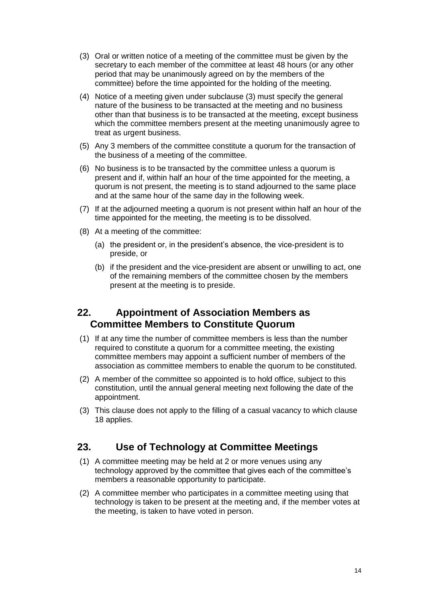- (3) Oral or written notice of a meeting of the committee must be given by the secretary to each member of the committee at least 48 hours (or any other period that may be unanimously agreed on by the members of the committee) before the time appointed for the holding of the meeting.
- (4) Notice of a meeting given under subclause (3) must specify the general nature of the business to be transacted at the meeting and no business other than that business is to be transacted at the meeting, except business which the committee members present at the meeting unanimously agree to treat as urgent business.
- (5) Any 3 members of the committee constitute a quorum for the transaction of the business of a meeting of the committee.
- (6) No business is to be transacted by the committee unless a quorum is present and if, within half an hour of the time appointed for the meeting, a quorum is not present, the meeting is to stand adjourned to the same place and at the same hour of the same day in the following week.
- (7) If at the adjourned meeting a quorum is not present within half an hour of the time appointed for the meeting, the meeting is to be dissolved.
- (8) At a meeting of the committee:
	- (a) the president or, in the president's absence, the vice-president is to preside, or
	- (b) if the president and the vice-president are absent or unwilling to act, one of the remaining members of the committee chosen by the members present at the meeting is to preside.

#### <span id="page-13-0"></span>**22. Appointment of Association Members as Committee Members to Constitute Quorum**

- (1) If at any time the number of committee members is less than the number required to constitute a quorum for a committee meeting, the existing committee members may appoint a sufficient number of members of the association as committee members to enable the quorum to be constituted.
- (2) A member of the committee so appointed is to hold office, subject to this constitution, until the annual general meeting next following the date of the appointment.
- (3) This clause does not apply to the filling of a casual vacancy to which clause 18 applies.

#### <span id="page-13-1"></span>**23. Use of Technology at Committee Meetings**

- (1) A committee meeting may be held at 2 or more venues using any technology approved by the committee that gives each of the committee's members a reasonable opportunity to participate.
- (2) A committee member who participates in a committee meeting using that technology is taken to be present at the meeting and, if the member votes at the meeting, is taken to have voted in person.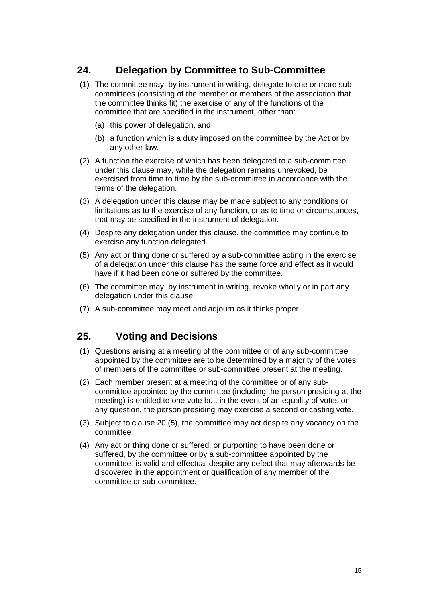## <span id="page-14-0"></span>**24. Delegation by Committee to Sub-Committee**

- (1) The committee may, by instrument in writing, delegate to one or more subcommittees (consisting of the member or members of the association that the committee thinks fit) the exercise of any of the functions of the committee that are specified in the instrument, other than:
	- (a) this power of delegation, and
	- (b) a function which is a duty imposed on the committee by the Act or by any other law.
- (2) A function the exercise of which has been delegated to a sub-committee under this clause may, while the delegation remains unrevoked, be exercised from time to time by the sub-committee in accordance with the terms of the delegation.
- (3) A delegation under this clause may be made subject to any conditions or limitations as to the exercise of any function, or as to time or circumstances, that may be specified in the instrument of delegation.
- (4) Despite any delegation under this clause, the committee may continue to exercise any function delegated.
- (5) Any act or thing done or suffered by a sub-committee acting in the exercise of a delegation under this clause has the same force and effect as it would have if it had been done or suffered by the committee.
- (6) The committee may, by instrument in writing, revoke wholly or in part any delegation under this clause.
- (7) A sub-committee may meet and adjourn as it thinks proper.

#### <span id="page-14-1"></span>**25. Voting and Decisions**

- (1) Questions arising at a meeting of the committee or of any sub-committee appointed by the committee are to be determined by a majority of the votes of members of the committee or sub-committee present at the meeting.
- (2) Each member present at a meeting of the committee or of any subcommittee appointed by the committee (including the person presiding at the meeting) is entitled to one vote but, in the event of an equality of votes on any question, the person presiding may exercise a second or casting vote.
- (3) Subject to clause 20 (5), the committee may act despite any vacancy on the committee.
- (4) Any act or thing done or suffered, or purporting to have been done or suffered, by the committee or by a sub-committee appointed by the committee, is valid and effectual despite any defect that may afterwards be discovered in the appointment or qualification of any member of the committee or sub-committee.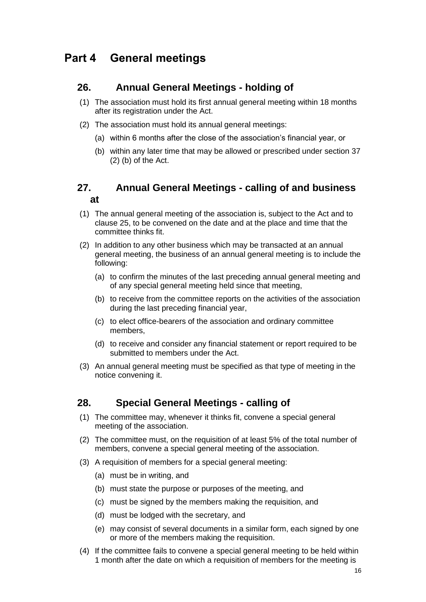# <span id="page-15-0"></span>**Part 4 General meetings**

#### <span id="page-15-1"></span>**26. Annual General Meetings - holding of**

- (1) The association must hold its first annual general meeting within 18 months after its registration under the Act.
- (2) The association must hold its annual general meetings:
	- (a) within 6 months after the close of the association's financial year, or
	- (b) within any later time that may be allowed or prescribed under section 37 (2) (b) of the Act.

### <span id="page-15-2"></span>**27. Annual General Meetings - calling of and business at**

- (1) The annual general meeting of the association is, subject to the Act and to clause 25, to be convened on the date and at the place and time that the committee thinks fit.
- (2) In addition to any other business which may be transacted at an annual general meeting, the business of an annual general meeting is to include the following:
	- (a) to confirm the minutes of the last preceding annual general meeting and of any special general meeting held since that meeting,
	- (b) to receive from the committee reports on the activities of the association during the last preceding financial year,
	- (c) to elect office-bearers of the association and ordinary committee members,
	- (d) to receive and consider any financial statement or report required to be submitted to members under the Act.
- (3) An annual general meeting must be specified as that type of meeting in the notice convening it.

#### <span id="page-15-3"></span>**28. Special General Meetings - calling of**

- (1) The committee may, whenever it thinks fit, convene a special general meeting of the association.
- (2) The committee must, on the requisition of at least 5% of the total number of members, convene a special general meeting of the association.
- (3) A requisition of members for a special general meeting:
	- (a) must be in writing, and
	- (b) must state the purpose or purposes of the meeting, and
	- (c) must be signed by the members making the requisition, and
	- (d) must be lodged with the secretary, and
	- (e) may consist of several documents in a similar form, each signed by one or more of the members making the requisition.
- (4) If the committee fails to convene a special general meeting to be held within 1 month after the date on which a requisition of members for the meeting is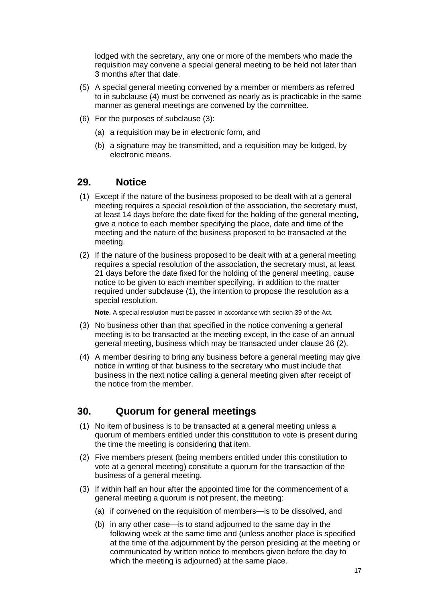lodged with the secretary, any one or more of the members who made the requisition may convene a special general meeting to be held not later than 3 months after that date.

- (5) A special general meeting convened by a member or members as referred to in subclause (4) must be convened as nearly as is practicable in the same manner as general meetings are convened by the committee.
- (6) For the purposes of subclause (3):
	- (a) a requisition may be in electronic form, and
	- (b) a signature may be transmitted, and a requisition may be lodged, by electronic means.

#### <span id="page-16-0"></span>**29. Notice**

- (1) Except if the nature of the business proposed to be dealt with at a general meeting requires a special resolution of the association, the secretary must, at least 14 days before the date fixed for the holding of the general meeting, give a notice to each member specifying the place, date and time of the meeting and the nature of the business proposed to be transacted at the meeting.
- (2) If the nature of the business proposed to be dealt with at a general meeting requires a special resolution of the association, the secretary must, at least 21 days before the date fixed for the holding of the general meeting, cause notice to be given to each member specifying, in addition to the matter required under subclause (1), the intention to propose the resolution as a special resolution.

**Note.** A special resolution must be passed in accordance with section 39 of the Act.

- (3) No business other than that specified in the notice convening a general meeting is to be transacted at the meeting except, in the case of an annual general meeting, business which may be transacted under clause 26 (2).
- (4) A member desiring to bring any business before a general meeting may give notice in writing of that business to the secretary who must include that business in the next notice calling a general meeting given after receipt of the notice from the member.

## <span id="page-16-1"></span>**30. Quorum for general meetings**

- (1) No item of business is to be transacted at a general meeting unless a quorum of members entitled under this constitution to vote is present during the time the meeting is considering that item.
- (2) Five members present (being members entitled under this constitution to vote at a general meeting) constitute a quorum for the transaction of the business of a general meeting.
- (3) If within half an hour after the appointed time for the commencement of a general meeting a quorum is not present, the meeting:
	- (a) if convened on the requisition of members—is to be dissolved, and
	- (b) in any other case—is to stand adjourned to the same day in the following week at the same time and (unless another place is specified at the time of the adjournment by the person presiding at the meeting or communicated by written notice to members given before the day to which the meeting is adjourned) at the same place.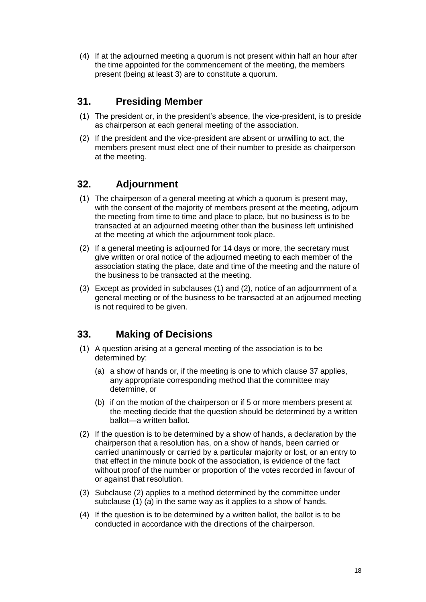(4) If at the adjourned meeting a quorum is not present within half an hour after the time appointed for the commencement of the meeting, the members present (being at least 3) are to constitute a quorum.

## <span id="page-17-0"></span>**31. Presiding Member**

- (1) The president or, in the president's absence, the vice-president, is to preside as chairperson at each general meeting of the association.
- (2) If the president and the vice-president are absent or unwilling to act, the members present must elect one of their number to preside as chairperson at the meeting.

## <span id="page-17-1"></span>**32. Adjournment**

- (1) The chairperson of a general meeting at which a quorum is present may, with the consent of the majority of members present at the meeting, adjourn the meeting from time to time and place to place, but no business is to be transacted at an adjourned meeting other than the business left unfinished at the meeting at which the adjournment took place.
- (2) If a general meeting is adjourned for 14 days or more, the secretary must give written or oral notice of the adjourned meeting to each member of the association stating the place, date and time of the meeting and the nature of the business to be transacted at the meeting.
- (3) Except as provided in subclauses (1) and (2), notice of an adjournment of a general meeting or of the business to be transacted at an adjourned meeting is not required to be given.

## <span id="page-17-2"></span>**33. Making of Decisions**

- (1) A question arising at a general meeting of the association is to be determined by:
	- (a) a show of hands or, if the meeting is one to which clause 37 applies, any appropriate corresponding method that the committee may determine, or
	- (b) if on the motion of the chairperson or if 5 or more members present at the meeting decide that the question should be determined by a written ballot—a written ballot.
- (2) If the question is to be determined by a show of hands, a declaration by the chairperson that a resolution has, on a show of hands, been carried or carried unanimously or carried by a particular majority or lost, or an entry to that effect in the minute book of the association, is evidence of the fact without proof of the number or proportion of the votes recorded in favour of or against that resolution.
- (3) Subclause (2) applies to a method determined by the committee under subclause (1) (a) in the same way as it applies to a show of hands.
- (4) If the question is to be determined by a written ballot, the ballot is to be conducted in accordance with the directions of the chairperson.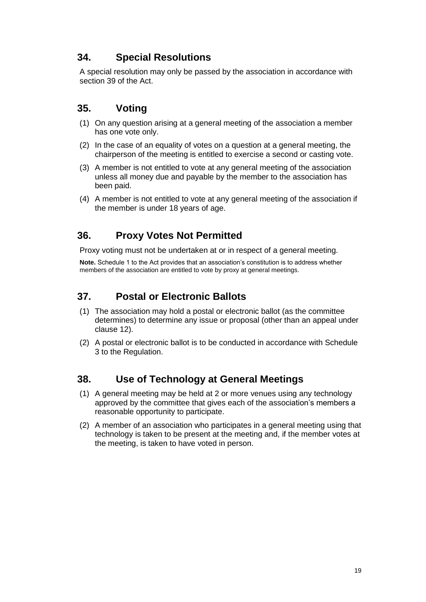## <span id="page-18-0"></span>**34. Special Resolutions**

A special resolution may only be passed by the association in accordance with section 39 of the Act.

## <span id="page-18-1"></span>**35. Voting**

- (1) On any question arising at a general meeting of the association a member has one vote only.
- (2) In the case of an equality of votes on a question at a general meeting, the chairperson of the meeting is entitled to exercise a second or casting vote.
- (3) A member is not entitled to vote at any general meeting of the association unless all money due and payable by the member to the association has been paid.
- (4) A member is not entitled to vote at any general meeting of the association if the member is under 18 years of age.

## <span id="page-18-2"></span>**36. Proxy Votes Not Permitted**

Proxy voting must not be undertaken at or in respect of a general meeting.

**Note.** Schedule 1 to the Act provides that an association's constitution is to address whether members of the association are entitled to vote by proxy at general meetings.

## <span id="page-18-3"></span>**37. Postal or Electronic Ballots**

- (1) The association may hold a postal or electronic ballot (as the committee determines) to determine any issue or proposal (other than an appeal under clause 12).
- (2) A postal or electronic ballot is to be conducted in accordance with Schedule 3 to the Regulation.

## <span id="page-18-4"></span>**38. Use of Technology at General Meetings**

- (1) A general meeting may be held at 2 or more venues using any technology approved by the committee that gives each of the association's members a reasonable opportunity to participate.
- (2) A member of an association who participates in a general meeting using that technology is taken to be present at the meeting and, if the member votes at the meeting, is taken to have voted in person.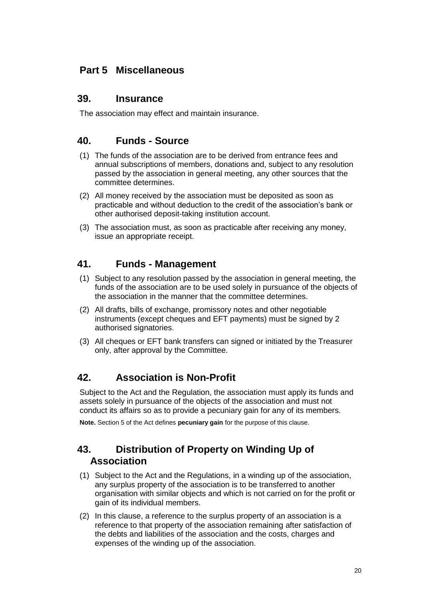# <span id="page-19-0"></span>**Part 5 Miscellaneous**

#### <span id="page-19-1"></span>**39. Insurance**

The association may effect and maintain insurance.

## <span id="page-19-2"></span>**40. Funds - Source**

- (1) The funds of the association are to be derived from entrance fees and annual subscriptions of members, donations and, subject to any resolution passed by the association in general meeting, any other sources that the committee determines.
- (2) All money received by the association must be deposited as soon as practicable and without deduction to the credit of the association's bank or other authorised deposit-taking institution account.
- (3) The association must, as soon as practicable after receiving any money, issue an appropriate receipt.

## <span id="page-19-3"></span>**41. Funds - Management**

- (1) Subject to any resolution passed by the association in general meeting, the funds of the association are to be used solely in pursuance of the objects of the association in the manner that the committee determines.
- (2) All drafts, bills of exchange, promissory notes and other negotiable instruments (except cheques and EFT payments) must be signed by 2 authorised signatories.
- (3) All cheques or EFT bank transfers can signed or initiated by the Treasurer only, after approval by the Committee.

## <span id="page-19-4"></span>**42. Association is Non-Profit**

Subject to the Act and the Regulation, the association must apply its funds and assets solely in pursuance of the objects of the association and must not conduct its affairs so as to provide a pecuniary gain for any of its members.

<span id="page-19-5"></span>**Note.** Section 5 of the Act defines **pecuniary gain** for the purpose of this clause.

## **43. Distribution of Property on Winding Up of Association**

- (1) Subject to the Act and the Regulations, in a winding up of the association, any surplus property of the association is to be transferred to another organisation with similar objects and which is not carried on for the profit or gain of its individual members.
- (2) In this clause, a reference to the surplus property of an association is a reference to that property of the association remaining after satisfaction of the debts and liabilities of the association and the costs, charges and expenses of the winding up of the association.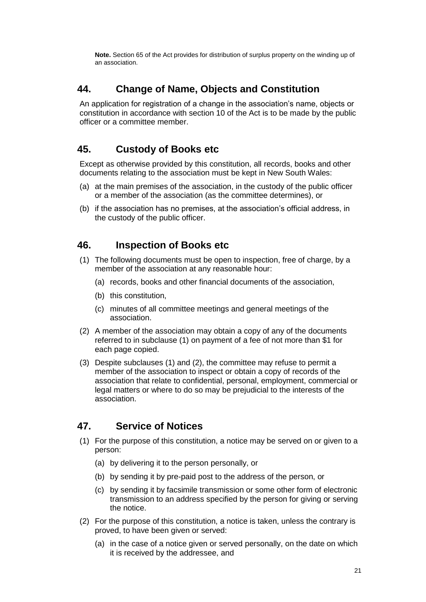**Note.** Section 65 of the Act provides for distribution of surplus property on the winding up of an association.

## <span id="page-20-0"></span>**44. Change of Name, Objects and Constitution**

An application for registration of a change in the association's name, objects or constitution in accordance with section 10 of the Act is to be made by the public officer or a committee member.

## <span id="page-20-1"></span>**45. Custody of Books etc**

Except as otherwise provided by this constitution, all records, books and other documents relating to the association must be kept in New South Wales:

- (a) at the main premises of the association, in the custody of the public officer or a member of the association (as the committee determines), or
- (b) if the association has no premises, at the association's official address, in the custody of the public officer.

## <span id="page-20-2"></span>**46. Inspection of Books etc**

- (1) The following documents must be open to inspection, free of charge, by a member of the association at any reasonable hour:
	- (a) records, books and other financial documents of the association,
	- (b) this constitution,
	- (c) minutes of all committee meetings and general meetings of the association.
- (2) A member of the association may obtain a copy of any of the documents referred to in subclause (1) on payment of a fee of not more than \$1 for each page copied.
- (3) Despite subclauses (1) and (2), the committee may refuse to permit a member of the association to inspect or obtain a copy of records of the association that relate to confidential, personal, employment, commercial or legal matters or where to do so may be prejudicial to the interests of the association.

## <span id="page-20-3"></span>**47. Service of Notices**

- (1) For the purpose of this constitution, a notice may be served on or given to a person:
	- (a) by delivering it to the person personally, or
	- (b) by sending it by pre-paid post to the address of the person, or
	- (c) by sending it by facsimile transmission or some other form of electronic transmission to an address specified by the person for giving or serving the notice.
- (2) For the purpose of this constitution, a notice is taken, unless the contrary is proved, to have been given or served:
	- (a) in the case of a notice given or served personally, on the date on which it is received by the addressee, and